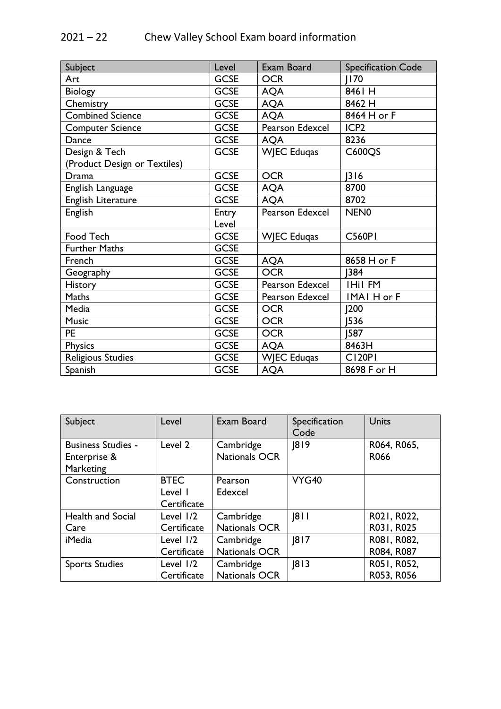## 2021 – 22 Chew Valley School Exam board information

| Subject                      | Level       | Exam Board             | <b>Specification Code</b> |
|------------------------------|-------------|------------------------|---------------------------|
| Art                          | <b>GCSE</b> | <b>OCR</b>             | <b>II70</b>               |
| <b>Biology</b>               | <b>GCSE</b> | <b>AQA</b>             | 8461 H                    |
| Chemistry                    | <b>GCSE</b> | <b>AQA</b>             | 8462 H                    |
| <b>Combined Science</b>      | <b>GCSE</b> | <b>AQA</b>             | 8464 H or F               |
| <b>Computer Science</b>      | <b>GCSE</b> | <b>Pearson Edexcel</b> | ICP <sub>2</sub>          |
| Dance                        | <b>GCSE</b> | <b>AQA</b>             | 8236                      |
| Design & Tech                | <b>GCSE</b> | <b>WIEC Edugas</b>     | C600QS                    |
| (Product Design or Textiles) |             |                        |                           |
| Drama                        | <b>GCSE</b> | <b>OCR</b>             | 316                       |
| English Language             | <b>GCSE</b> | <b>AQA</b>             | 8700                      |
| English Literature           | <b>GCSE</b> | <b>AQA</b>             | 8702                      |
| <b>English</b>               | Entry       | Pearson Edexcel        | NEN <sub>0</sub>          |
|                              | Level       |                        |                           |
| Food Tech                    | <b>GCSE</b> | <b>WIEC Eduqas</b>     | <b>C560PI</b>             |
| <b>Further Maths</b>         | <b>GCSE</b> |                        |                           |
| French                       | <b>GCSE</b> | <b>AQA</b>             | 8658 H or F               |
| Geography                    | <b>GCSE</b> | <b>OCR</b>             | 384                       |
| <b>History</b>               | <b>GCSE</b> | Pearson Edexcel        | <b>IHil FM</b>            |
| <b>Maths</b>                 | <b>GCSE</b> | Pearson Edexcel        | IMAI H or F               |
| Media                        | <b>GCSE</b> | <b>OCR</b>             | 200                       |
| <b>Music</b>                 | <b>GCSE</b> | <b>OCR</b>             | 1536                      |
| <b>PE</b>                    | <b>GCSE</b> | <b>OCR</b>             | 1587                      |
| Physics                      | <b>GCSE</b> | <b>AQA</b>             | 8463H                     |
| Religious Studies            | <b>GCSE</b> | <b>WJEC Eduqas</b>     | <b>CI20PI</b>             |
| Spanish                      | <b>GCSE</b> | <b>AQA</b>             | 8698 F or H               |

| Subject                                                       | Level                                 | Exam Board                        | Specification<br>Code | <b>Units</b>              |
|---------------------------------------------------------------|---------------------------------------|-----------------------------------|-----------------------|---------------------------|
| <b>Business Studies -</b><br>Enterprise &<br><b>Marketing</b> | Level 2                               | Cambridge<br><b>Nationals OCR</b> | 8 9                   | R064, R065,<br>R066       |
| Construction                                                  | <b>BTEC</b><br>Level I<br>Certificate | Pearson<br>Edexcel                | <b>VYG40</b>          |                           |
| <b>Health and Social</b><br>Care                              | Level $1/2$<br>Certificate            | Cambridge<br><b>Nationals OCR</b> | 8                     | R021, R022,<br>R031, R025 |
| <i>i</i> Media                                                | Level $1/2$<br>Certificate            | Cambridge<br><b>Nationals OCR</b> | 8 7                   | R081, R082,<br>R084, R087 |
| <b>Sports Studies</b>                                         | Level 1/2<br>Certificate              | Cambridge<br>Nationals OCR        | 8 3                   | R051, R052,<br>R053, R056 |